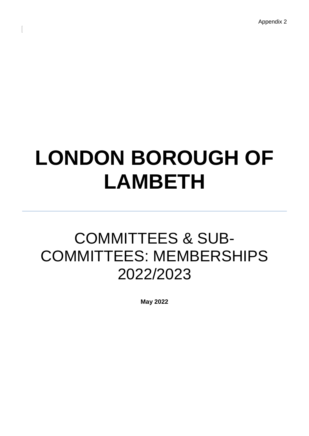Appendix 2

# **LONDON BOROUGH OF LAMBETH**

# COMMITTEES & SUB-COMMITTEES: MEMBERSHIPS 2022/2023

**May 2022**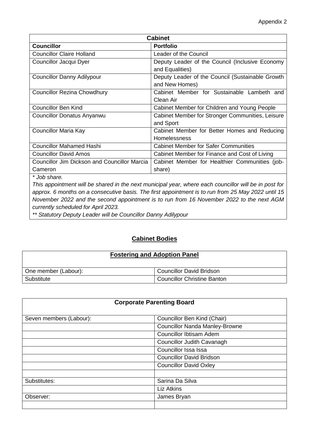| <b>Cabinet</b>                                      |                                                  |
|-----------------------------------------------------|--------------------------------------------------|
| <b>Councillor</b>                                   | <b>Portfolio</b>                                 |
| <b>Councillor Claire Holland</b>                    | <b>Leader of the Council</b>                     |
| Councillor Jacqui Dyer                              | Deputy Leader of the Council (Inclusive Economy  |
|                                                     | and Equalities)                                  |
| <b>Councillor Danny Adilypour</b>                   | Deputy Leader of the Council (Sustainable Growth |
|                                                     | and New Homes)                                   |
| <b>Councillor Rezina Chowdhury</b>                  | Cabinet Member for Sustainable Lambeth and       |
|                                                     | Clean Air                                        |
| <b>Councillor Ben Kind</b>                          | Cabinet Member for Children and Young People     |
| <b>Councillor Donatus Anyanwu</b>                   | Cabinet Member for Stronger Communities, Leisure |
|                                                     | and Sport                                        |
| <b>Councillor Maria Kay</b>                         | Cabinet Member for Better Homes and Reducing     |
|                                                     | <b>Homelessness</b>                              |
| <b>Councillor Mahamed Hashi</b>                     | <b>Cabinet Member for Safer Communities</b>      |
| <b>Councillor David Amos</b>                        | Cabinet Member for Finance and Cost of Living    |
| <b>Councillor Jim Dickson and Councillor Marcia</b> | Cabinet Member for Healthier Communities (job-   |
| Cameron                                             | share)                                           |
| * Job share.                                        |                                                  |

*This appointment will be shared in the next municipal year, where each councillor will be in post for approx. 6 months on a consecutive basis. The first appointment is to run from 25 May 2022 until 15 November 2022 and the second appointment is to run from 16 November 2022 to the next AGM currently scheduled for April 2023.* 

*\*\* Statutory Deputy Leader will be Councillor Danny Adilypour*

# **Cabinet Bodies**

# **Fostering and Adoption Panel**

| One member (Labour): | Councillor David Bridson           |
|----------------------|------------------------------------|
| Substitute           | <b>Councillor Christine Banton</b> |

| <b>Corporate Parenting Board</b> |                                       |
|----------------------------------|---------------------------------------|
| Seven members (Labour):          | Councillor Ben Kind (Chair)           |
|                                  | <b>Councillor Nanda Manley-Browne</b> |
|                                  | <b>Councillor Ibtisam Adem</b>        |
|                                  | Councillor Judith Cavanagh            |
|                                  | Councillor Issa Issa                  |
|                                  | <b>Councillor David Bridson</b>       |
|                                  | <b>Councillor David Oxley</b>         |
|                                  |                                       |
| Substitutes:                     | Sarina Da Silva                       |
|                                  | Liz Atkins                            |
| Observer:                        | James Bryan                           |
|                                  |                                       |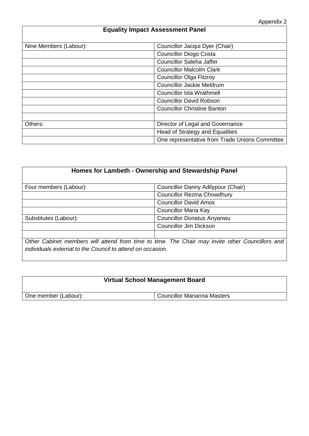# **Equality Impact Assessment Panel** Nine Members (Labour): Councillor Jacqui Dyer (Chair) Councillor Diogo Costa Councillor Saleha Jaffer Councillor Malcolm Clark Councillor Olga Fitzroy Councillor Jackie Meldrum Councillor Isla Wrathmell Councillor David Robson Councillor Christine Banton Others: Director of Legal and Governance Head of Strategy and Equalities One representative from Trade Unions Committee

| Homes for Lambeth - Ownership and Stewardship Panel |                                                                                                 |
|-----------------------------------------------------|-------------------------------------------------------------------------------------------------|
| Four members (Labour):                              | Councillor Danny Adilypour (Chair)                                                              |
|                                                     | <b>Councillor Rezina Chowdhury</b>                                                              |
|                                                     | <b>Councillor David Amos</b>                                                                    |
|                                                     | <b>Councillor Maria Kay</b>                                                                     |
| Substitutes (Labour):                               | <b>Councillor Donatus Anyanwu</b>                                                               |
|                                                     | <b>Councillor Jim Dickson</b>                                                                   |
|                                                     |                                                                                                 |
|                                                     | Other Cabinet members will attend from time to time. The Chair may invite other Councillors and |

*Other Cabinet members will attend from time to time. The Chair may invite other Councillors and individuals external to the Council to attend on occasion.* 

# **Virtual School Management Board**

One member (Labour): Councillor Marianna Masters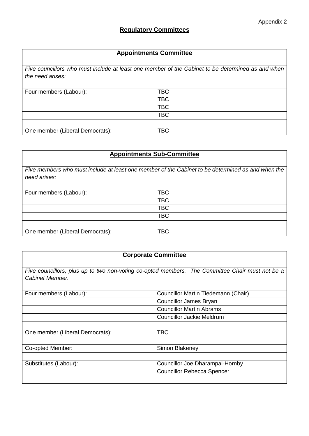#### **Appointments Committee**

*Five councillors who must include at least one member of the Cabinet to be determined as and when the need arises:*

| Four members (Labour):          | <b>TBC</b> |
|---------------------------------|------------|
|                                 | <b>TBC</b> |
|                                 | <b>TBC</b> |
|                                 | <b>TBC</b> |
|                                 |            |
| One member (Liberal Democrats): | <b>TBC</b> |

# **Appointments Sub-Committee**

*Five members who must include at least one member of the Cabinet to be determined as and when the need arises:*

| Four members (Labour):          | <b>TBC</b> |
|---------------------------------|------------|
|                                 | <b>TBC</b> |
|                                 | <b>TBC</b> |
|                                 | <b>TBC</b> |
|                                 |            |
| One member (Liberal Democrats): | TBC        |

| <b>Corporate Committee</b>                                                                                         |                                        |  |
|--------------------------------------------------------------------------------------------------------------------|----------------------------------------|--|
| Five councillors, plus up to two non-voting co-opted members. The Committee Chair must not be a<br>Cabinet Member. |                                        |  |
| Four members (Labour):                                                                                             | Councillor Martin Tiedemann (Chair)    |  |
|                                                                                                                    | Councillor James Bryan                 |  |
|                                                                                                                    | <b>Councillor Martin Abrams</b>        |  |
|                                                                                                                    | <b>Councillor Jackie Meldrum</b>       |  |
|                                                                                                                    |                                        |  |
| One member (Liberal Democrats):                                                                                    | <b>TBC</b>                             |  |
|                                                                                                                    |                                        |  |
| Co-opted Member:                                                                                                   | Simon Blakeney                         |  |
|                                                                                                                    |                                        |  |
| Substitutes (Labour):                                                                                              | <b>Councillor Joe Dharampal-Hornby</b> |  |
|                                                                                                                    | <b>Councillor Rebecca Spencer</b>      |  |
|                                                                                                                    |                                        |  |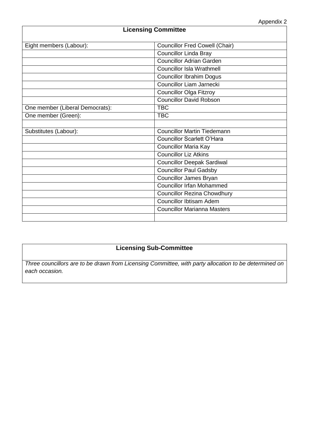| <b>Licensing Committee</b>      |                                       |  |
|---------------------------------|---------------------------------------|--|
| Eight members (Labour):         | <b>Councillor Fred Cowell (Chair)</b> |  |
|                                 | <b>Councillor Linda Bray</b>          |  |
|                                 | <b>Councillor Adrian Garden</b>       |  |
|                                 | <b>Councillor Isla Wrathmell</b>      |  |
|                                 | <b>Councillor Ibrahim Dogus</b>       |  |
|                                 | Councillor Liam Jarnecki              |  |
|                                 | <b>Councillor Olga Fitzroy</b>        |  |
|                                 | <b>Councillor David Robson</b>        |  |
| One member (Liberal Democrats): | <b>TBC</b>                            |  |
| One member (Green):             | <b>TBC</b>                            |  |
|                                 |                                       |  |
| Substitutes (Labour):           | <b>Councillor Martin Tiedemann</b>    |  |
|                                 | <b>Councillor Scarlett O'Hara</b>     |  |
|                                 | <b>Councillor Maria Kay</b>           |  |
|                                 | <b>Councillor Liz Atkins</b>          |  |
|                                 | <b>Councillor Deepak Sardiwal</b>     |  |
|                                 | <b>Councillor Paul Gadsby</b>         |  |
|                                 | <b>Councillor James Bryan</b>         |  |
|                                 | <b>Councillor Irfan Mohammed</b>      |  |
|                                 | <b>Councillor Rezina Chowdhury</b>    |  |
|                                 | Councillor Ibtisam Adem               |  |
|                                 | <b>Councillor Marianna Masters</b>    |  |
|                                 |                                       |  |

# **Licensing Sub-Committee**

*Three councillors are to be drawn from Licensing Committee, with party allocation to be determined on each occasion.*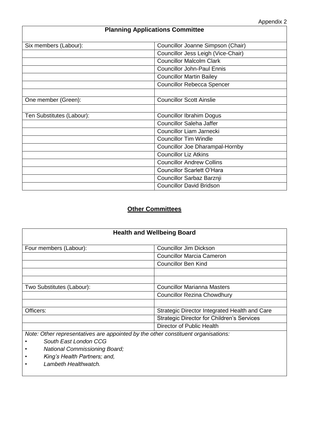# **Planning Applications Committee** Six members (Labour): Councillor Joanne Simpson (Chair) Councillor Jess Leigh (Vice-Chair) Councillor Malcolm Clark Councillor John-Paul Ennis Councillor Martin Bailey Councillor Rebecca Spencer One member (Green): Councillor Scott Ainslie Ten Substitutes (Labour): Councillor Ibrahim Dogus Councillor Saleha Jaffer Councillor Liam Jarnecki Councillor Tim Windle Councillor Joe Dharampal-Hornby Councillor Liz Atkins Councillor Andrew Collins Councillor Scarlett O'Hara Councillor Sarbaz Barznji Councillor David Bridson

## **Other Committees**

| <b>Health and Wellbeing Board</b>                                                 |                                                   |
|-----------------------------------------------------------------------------------|---------------------------------------------------|
| Four members (Labour):                                                            | <b>Councillor Jim Dickson</b>                     |
|                                                                                   | <b>Councillor Marcia Cameron</b>                  |
|                                                                                   | Councillor Ben Kind                               |
|                                                                                   |                                                   |
|                                                                                   |                                                   |
| Two Substitutes (Labour):                                                         | <b>Councillor Marianna Masters</b>                |
|                                                                                   | <b>Councillor Rezina Chowdhury</b>                |
|                                                                                   |                                                   |
| Officers:                                                                         | Strategic Director Integrated Health and Care     |
|                                                                                   | <b>Strategic Director for Children's Services</b> |
|                                                                                   | Director of Public Health                         |
| Note: Other representatives are appointed by the other constituent organisations: |                                                   |

- *• South East London CCG*
- *• National Commissioning Board;*
- *• King's Health Partners; and,*
- *• Lambeth Healthwatch.*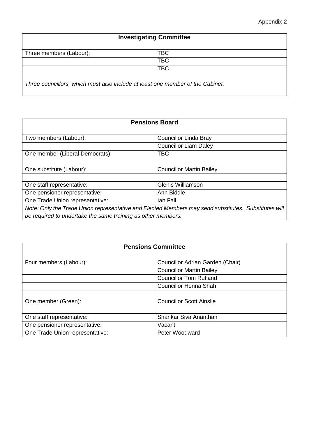# **Investigating Committee**

| Three members (Labour): | DU |
|-------------------------|----|
|                         | DU |
|                         | DU |
|                         |    |

*Three councillors, which must also include at least one member of the Cabinet.*

| <b>Pensions Board</b>                                                                                |                                 |
|------------------------------------------------------------------------------------------------------|---------------------------------|
| Two members (Labour):                                                                                | Councillor Linda Bray           |
|                                                                                                      | <b>Councillor Liam Daley</b>    |
| One member (Liberal Democrats):                                                                      | <b>TBC</b>                      |
|                                                                                                      |                                 |
| One substitute (Labour):                                                                             | <b>Councillor Martin Bailey</b> |
|                                                                                                      |                                 |
| One staff representative:                                                                            | Glenis Williamson               |
| One pensioner representative:                                                                        | Ann Biddle                      |
| One Trade Union representative:                                                                      | lan Fall                        |
| Note: Only the Trade Union representative and Elected Members may send substitutes. Substitutes will |                                 |
| be required to undertake the same training as other members.                                         |                                 |

| <b>Pensions Committee</b>       |                                  |
|---------------------------------|----------------------------------|
| Four members (Labour):          | Councillor Adrian Garden (Chair) |
|                                 | <b>Councillor Martin Bailey</b>  |
|                                 | <b>Councillor Tom Rutland</b>    |
|                                 | Councillor Henna Shah            |
|                                 |                                  |
| One member (Green):             | <b>Councillor Scott Ainslie</b>  |
|                                 |                                  |
| One staff representative:       | Shankar Siva Ananthan            |
| One pensioner representative:   | Vacant                           |
| One Trade Union representative: | Peter Woodward                   |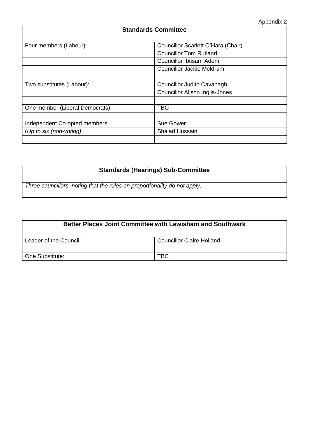# **Standards Committee** Four members (Labour): Councillor Scarlett O'Hara (Chair) Councillor Tom Rutland Councillor Ibtisam Adem Councillor Jackie Meldrum Two substitutes (Labour): Councillor Judith Cavanagh Councillor Alison Inglis-Jones One member (Liberal Democrats): TBC Independent Co-opted members: Sue Gower (*Up to six (non-voting)* Shajad Hussain

## **Standards (Hearings) Sub-Committee**

*Three councillors, noting that the rules on proportionality do not apply.*

| Better Places Joint Committee with Lewisham and Southwark |                                  |
|-----------------------------------------------------------|----------------------------------|
| Leader of the Council:                                    | <b>Councillor Claire Holland</b> |
|                                                           |                                  |
| One Substitute:                                           | <b>TBC</b>                       |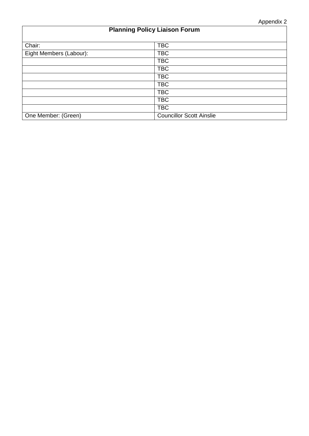# **Planning Policy Liaison Forum** Chair: TBC Eight Members (Labour): TBC TBC TBC TBC TBC TBC TBC TBC One Member: (Green) Councillor Scott Ainslie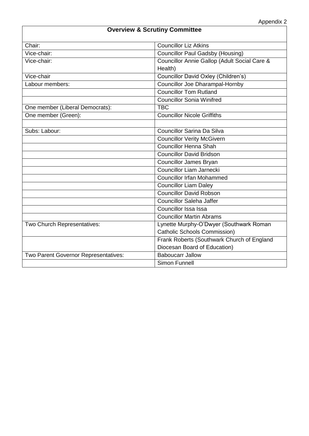# **Overview & Scrutiny Committee** Chair: Chair: Chair: Councillor Liz Atkins Vice-chair: Councillor Paul Gadsby (Housing) Vice-chair: Councillor Annie Gallop (Adult Social Care & Health) Vice-chair **Councillor David Oxley (Children's)** Labour members: Councillor Joe Dharampal-Hornby Councillor Tom Rutland Councillor Sonia Winifred One member (Liberal Democrats): TBC One member (Green): Councillor Nicole Griffiths Subs: Labour: Councillor Sarina Da Silva **Councillor Verity McGivern** Councillor Henna Shah Councillor David Bridson Councillor James Bryan Councillor Liam Jarnecki Councillor Irfan Mohammed Councillor Liam Daley Councillor David Robson Councillor Saleha Jaffer Councillor Issa Issa Councillor Martin Abrams Two Church Representatives: Lynette Murphy-O'Dwyer (Southwark Roman Catholic Schools Commission) Frank Roberts (Southwark Church of England Diocesan Board of Education) Two Parent Governor Representatives: <br> Baboucarr Jallow Simon Funnell